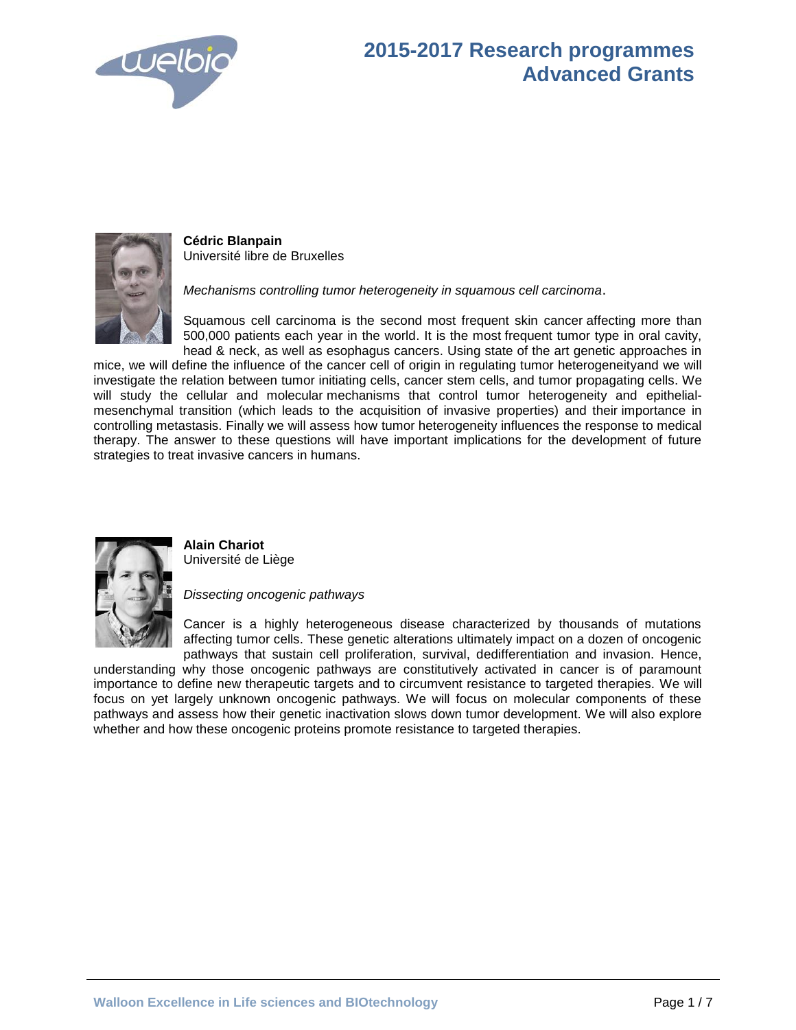



**Cédric Blanpain**  Université libre de Bruxelles

*Mechanisms controlling tumor heterogeneity in squamous cell carcinoma*.

Squamous cell carcinoma is the second most frequent skin cancer affecting more than 500,000 patients each year in the world. It is the most frequent tumor type in oral cavity, head & neck, as well as esophagus cancers. Using state of the art genetic approaches in

mice, we will define the influence of the cancer cell of origin in regulating tumor heterogeneityand we will investigate the relation between tumor initiating cells, cancer stem cells, and tumor propagating cells. We will study the cellular and molecular mechanisms that control tumor heterogeneity and epithelialmesenchymal transition (which leads to the acquisition of invasive properties) and their importance in controlling metastasis. Finally we will assess how tumor heterogeneity influences the response to medical therapy. The answer to these questions will have important implications for the development of future strategies to treat invasive cancers in humans.



**Alain Chariot**  Université de Liège

*Dissecting oncogenic pathways*

Cancer is a highly heterogeneous disease characterized by thousands of mutations affecting tumor cells. These genetic alterations ultimately impact on a dozen of oncogenic pathways that sustain cell proliferation, survival, dedifferentiation and invasion. Hence,

understanding why those oncogenic pathways are constitutively activated in cancer is of paramount importance to define new therapeutic targets and to circumvent resistance to targeted therapies. We will focus on yet largely unknown oncogenic pathways. We will focus on molecular components of these pathways and assess how their genetic inactivation slows down tumor development. We will also explore whether and how these oncogenic proteins promote resistance to targeted therapies.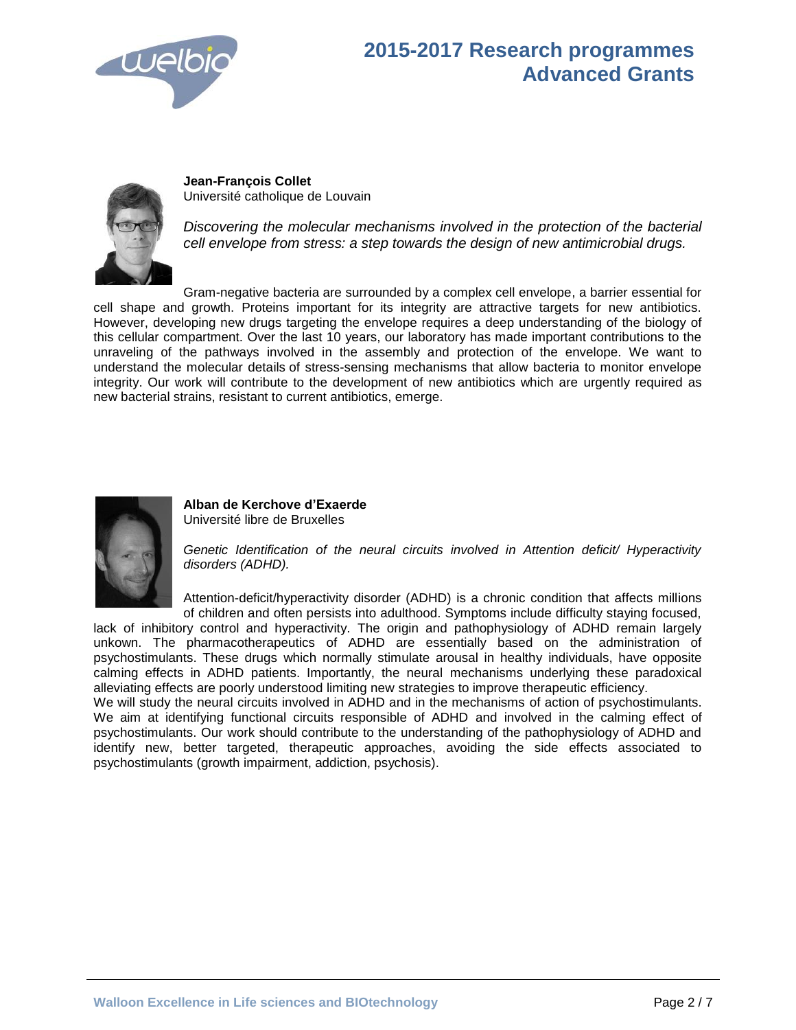



**Jean-François Collet**  Université catholique de Louvain

*Discovering the molecular mechanisms involved in the protection of the bacterial cell envelope from stress: a step towards the design of new antimicrobial drugs.*

Gram-negative bacteria are surrounded by a complex cell envelope, a barrier essential for cell shape and growth. Proteins important for its integrity are attractive targets for new antibiotics. However, developing new drugs targeting the envelope requires a deep understanding of the biology of this cellular compartment. Over the last 10 years, our laboratory has made important contributions to the unraveling of the pathways involved in the assembly and protection of the envelope. We want to understand the molecular details of stress-sensing mechanisms that allow bacteria to monitor envelope integrity. Our work will contribute to the development of new antibiotics which are urgently required as new bacterial strains, resistant to current antibiotics, emerge.



**Alban de Kerchove d'Exaerde** Université libre de Bruxelles

*Genetic Identification of the neural circuits involved in Attention deficit/ Hyperactivity disorders (ADHD).*

Attention-deficit/hyperactivity disorder (ADHD) is a chronic condition that affects millions of children and often persists into adulthood. Symptoms include difficulty staying focused,

lack of inhibitory control and hyperactivity. The origin and pathophysiology of ADHD remain largely unkown. The pharmacotherapeutics of ADHD are essentially based on the administration of psychostimulants. These drugs which normally stimulate arousal in healthy individuals, have opposite calming effects in ADHD patients. Importantly, the neural mechanisms underlying these paradoxical alleviating effects are poorly understood limiting new strategies to improve therapeutic efficiency.

We will study the neural circuits involved in ADHD and in the mechanisms of action of psychostimulants. We aim at identifying functional circuits responsible of ADHD and involved in the calming effect of psychostimulants. Our work should contribute to the understanding of the pathophysiology of ADHD and identify new, better targeted, therapeutic approaches, avoiding the side effects associated to psychostimulants (growth impairment, addiction, psychosis).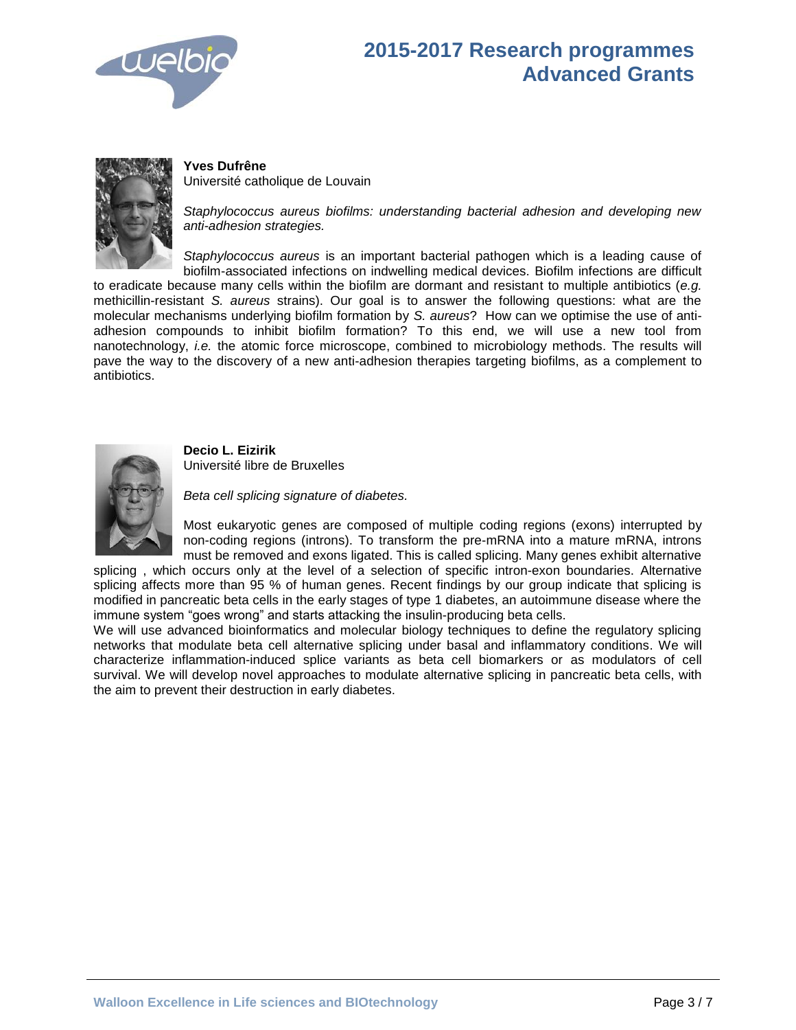



**Yves Dufrêne** Université catholique de Louvain

*Staphylococcus aureus biofilms: understanding bacterial adhesion and developing new anti-adhesion strategies.*

*Staphylococcus aureus* is an important bacterial pathogen which is a leading cause of biofilm-associated infections on indwelling medical devices. Biofilm infections are difficult

to eradicate because many cells within the biofilm are dormant and resistant to multiple antibiotics (*e.g.* methicillin-resistant *S. aureus* strains). Our goal is to answer the following questions: what are the molecular mechanisms underlying biofilm formation by *S. aureus*? How can we optimise the use of antiadhesion compounds to inhibit biofilm formation? To this end, we will use a new tool from nanotechnology, *i.e.* the atomic force microscope, combined to microbiology methods. The results will pave the way to the discovery of a new anti-adhesion therapies targeting biofilms, as a complement to antibiotics.



**Decio L. Eizirik** Université libre de Bruxelles

*Beta cell splicing signature of diabetes.*

Most eukaryotic genes are composed of multiple coding regions (exons) interrupted by non-coding regions (introns). To transform the pre-mRNA into a mature mRNA, introns must be removed and exons ligated. This is called splicing. Many genes exhibit alternative

splicing , which occurs only at the level of a selection of specific intron-exon boundaries. Alternative splicing affects more than 95 % of human genes. Recent findings by our group indicate that splicing is modified in pancreatic beta cells in the early stages of type 1 diabetes, an autoimmune disease where the immune system "goes wrong" and starts attacking the insulin-producing beta cells.

We will use advanced bioinformatics and molecular biology techniques to define the regulatory splicing networks that modulate beta cell alternative splicing under basal and inflammatory conditions. We will characterize inflammation-induced splice variants as beta cell biomarkers or as modulators of cell survival. We will develop novel approaches to modulate alternative splicing in pancreatic beta cells, with the aim to prevent their destruction in early diabetes.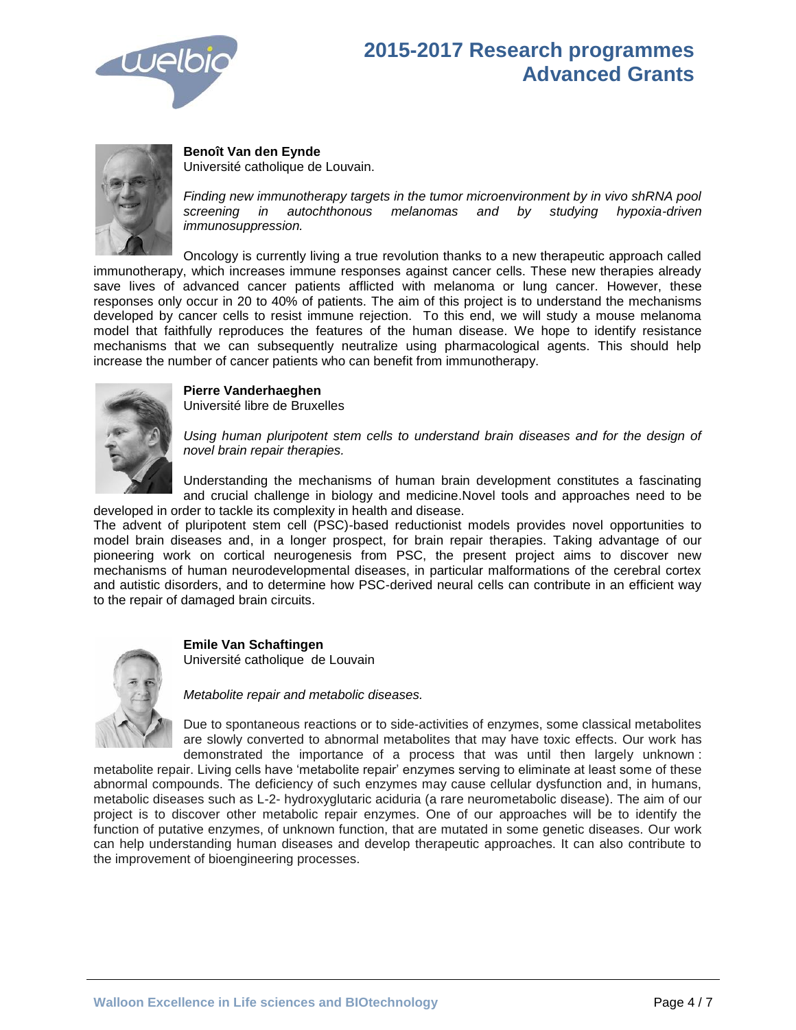



**Benoît Van den Eynde**

Université catholique de Louvain.

*Finding new immunotherapy targets in the tumor microenvironment by in vivo shRNA pool screening in autochthonous melanomas and by studying hypoxia-driven immunosuppression.*

Oncology is currently living a true revolution thanks to a new therapeutic approach called immunotherapy, which increases immune responses against cancer cells. These new therapies already save lives of advanced cancer patients afflicted with melanoma or lung cancer. However, these responses only occur in 20 to 40% of patients. The aim of this project is to understand the mechanisms developed by cancer cells to resist immune rejection. To this end, we will study a mouse melanoma model that faithfully reproduces the features of the human disease. We hope to identify resistance mechanisms that we can subsequently neutralize using pharmacological agents. This should help increase the number of cancer patients who can benefit from immunotherapy.



#### **Pierre Vanderhaeghen**

Université libre de Bruxelles

*Using human pluripotent stem cells to understand brain diseases and for the design of novel brain repair therapies.*

Understanding the mechanisms of human brain development constitutes a fascinating and crucial challenge in biology and medicine.Novel tools and approaches need to be developed in order to tackle its complexity in health and disease.

The advent of pluripotent stem cell (PSC)-based reductionist models provides novel opportunities to model brain diseases and, in a longer prospect, for brain repair therapies. Taking advantage of our pioneering work on cortical neurogenesis from PSC, the present project aims to discover new mechanisms of human neurodevelopmental diseases, in particular malformations of the cerebral cortex and autistic disorders, and to determine how PSC-derived neural cells can contribute in an efficient way to the repair of damaged brain circuits.



**Emile Van Schaftingen** Université catholique de Louvain

*Metabolite repair and metabolic diseases.*

Due to spontaneous reactions or to side-activities of enzymes, some classical metabolites are slowly converted to abnormal metabolites that may have toxic effects. Our work has demonstrated the importance of a process that was until then largely unknown :

metabolite repair. Living cells have 'metabolite repair' enzymes serving to eliminate at least some of these abnormal compounds. The deficiency of such enzymes may cause cellular dysfunction and, in humans, metabolic diseases such as L-2- hydroxyglutaric aciduria (a rare neurometabolic disease). The aim of our project is to discover other metabolic repair enzymes. One of our approaches will be to identify the function of putative enzymes, of unknown function, that are mutated in some genetic diseases. Our work can help understanding human diseases and develop therapeutic approaches. It can also contribute to the improvement of bioengineering processes.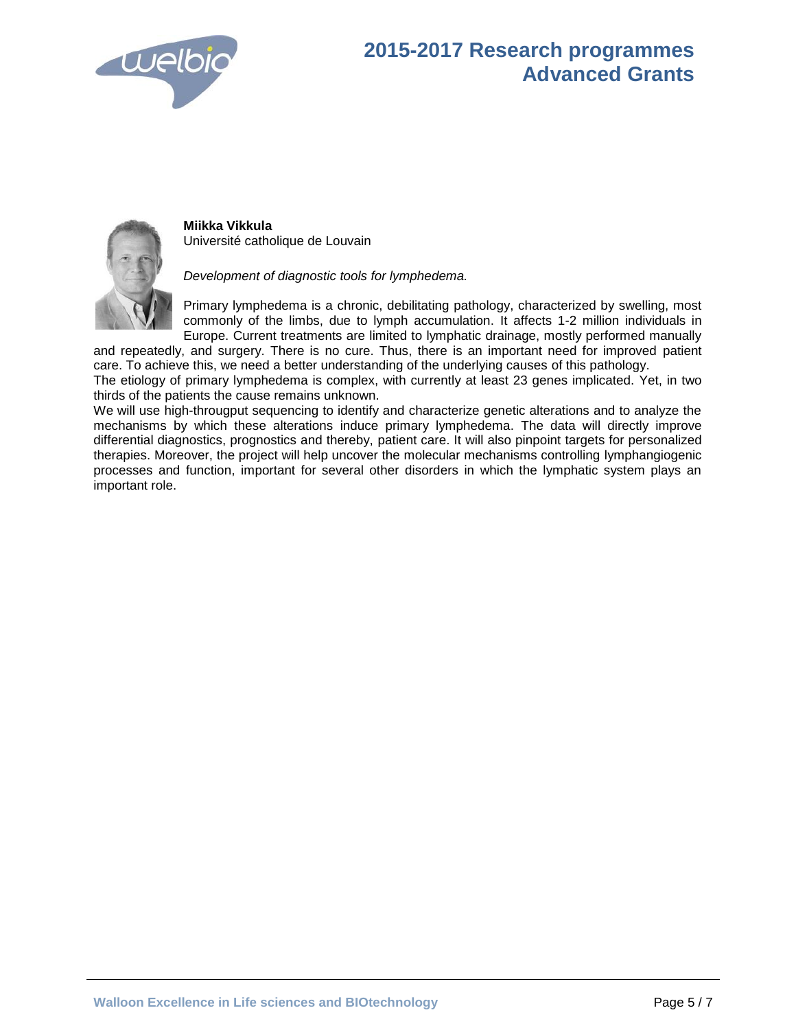



**Miikka Vikkula** Université catholique de Louvain

*Development of diagnostic tools for lymphedema.* 

Primary lymphedema is a chronic, debilitating pathology, characterized by swelling, most commonly of the limbs, due to lymph accumulation. It affects 1-2 million individuals in Europe. Current treatments are limited to lymphatic drainage, mostly performed manually

and repeatedly, and surgery. There is no cure. Thus, there is an important need for improved patient care. To achieve this, we need a better understanding of the underlying causes of this pathology. The etiology of primary lymphedema is complex, with currently at least 23 genes implicated. Yet, in two

thirds of the patients the cause remains unknown.

We will use high-througput sequencing to identify and characterize genetic alterations and to analyze the mechanisms by which these alterations induce primary lymphedema. The data will directly improve differential diagnostics, prognostics and thereby, patient care. It will also pinpoint targets for personalized therapies. Moreover, the project will help uncover the molecular mechanisms controlling lymphangiogenic processes and function, important for several other disorders in which the lymphatic system plays an important role.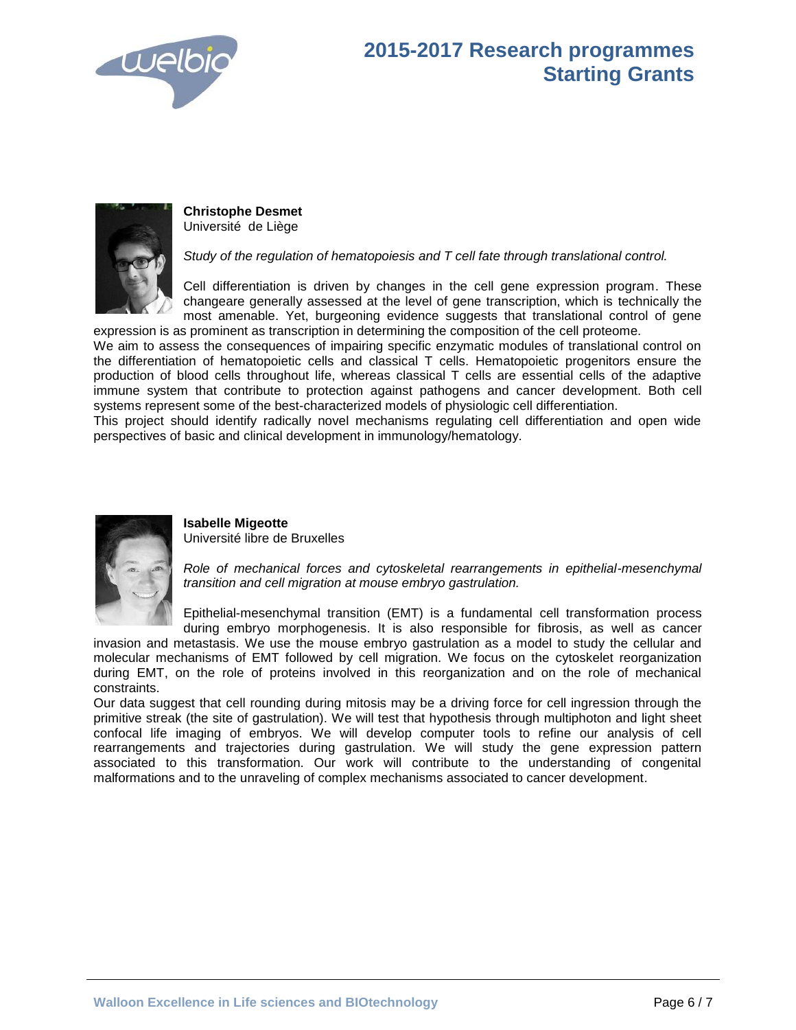

#### **2015-2017 Research programmes Starting Grants**



**Christophe Desmet** Université de Liège

*Study of the regulation of hematopoiesis and T cell fate through translational control.*

Cell differentiation is driven by changes in the cell gene expression program. These changeare generally assessed at the level of gene transcription, which is technically the most amenable. Yet, burgeoning evidence suggests that translational control of gene expression is as prominent as transcription in determining the composition of the cell proteome.

We aim to assess the consequences of impairing specific enzymatic modules of translational control on the differentiation of hematopoietic cells and classical T cells. Hematopoietic progenitors ensure the production of blood cells throughout life, whereas classical T cells are essential cells of the adaptive immune system that contribute to protection against pathogens and cancer development. Both cell systems represent some of the best-characterized models of physiologic cell differentiation.

This project should identify radically novel mechanisms regulating cell differentiation and open wide perspectives of basic and clinical development in immunology/hematology.



#### **Isabelle Migeotte**

Université libre de Bruxelles

*Role of mechanical forces and cytoskeletal rearrangements in epithelial-mesenchymal transition and cell migration at mouse embryo gastrulation.*

Epithelial-mesenchymal transition (EMT) is a fundamental cell transformation process during embryo morphogenesis. It is also responsible for fibrosis, as well as cancer

invasion and metastasis. We use the mouse embryo gastrulation as a model to study the cellular and molecular mechanisms of EMT followed by cell migration. We focus on the cytoskelet reorganization during EMT, on the role of proteins involved in this reorganization and on the role of mechanical constraints.

Our data suggest that cell rounding during mitosis may be a driving force for cell ingression through the primitive streak (the site of gastrulation). We will test that hypothesis through multiphoton and light sheet confocal life imaging of embryos. We will develop computer tools to refine our analysis of cell rearrangements and trajectories during gastrulation. We will study the gene expression pattern associated to this transformation. Our work will contribute to the understanding of congenital malformations and to the unraveling of complex mechanisms associated to cancer development.